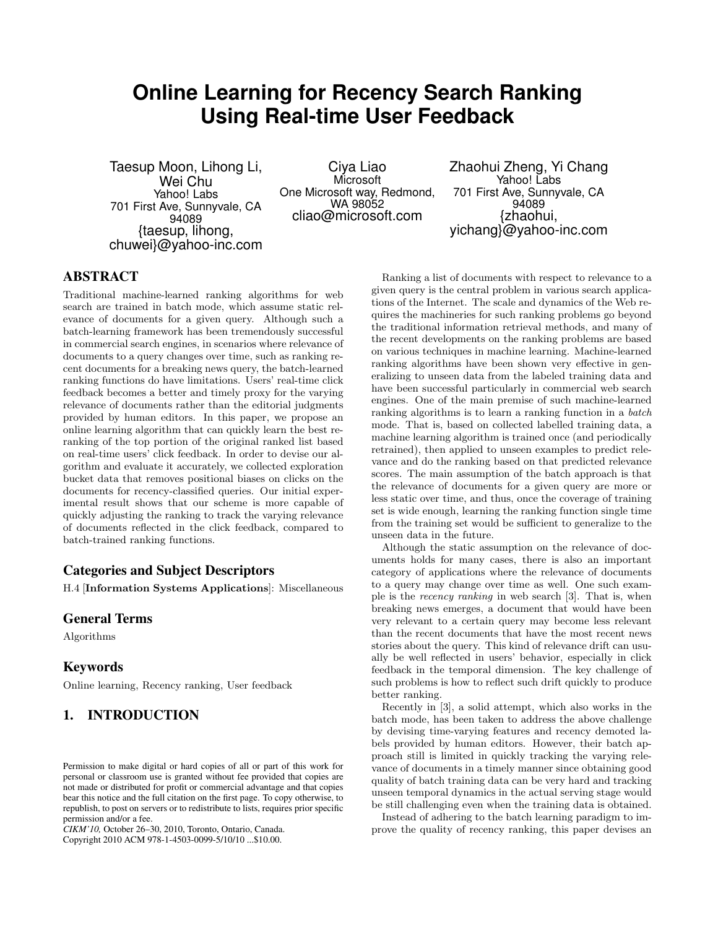# **Online Learning for Recency Search Ranking Using Real-time User Feedback**

Taesup Moon, Lihong Li, Wei Chu Yahoo! Labs 701 First Ave, Sunnyvale, CA 94089 {taesup, lihong, chuwei}@yahoo-inc.com

Ciya Liao Microsoft One Microsoft way, Redmond, WA 98052 cliao@microsoft.com

Zhaohui Zheng, Yi Chang Yahoo! Labs 701 First Ave, Sunnyvale, CA 94089 {zhaohui, yichang}@yahoo-inc.com

# ABSTRACT

Traditional machine-learned ranking algorithms for web search are trained in batch mode, which assume static relevance of documents for a given query. Although such a batch-learning framework has been tremendously successful in commercial search engines, in scenarios where relevance of documents to a query changes over time, such as ranking recent documents for a breaking news query, the batch-learned ranking functions do have limitations. Users' real-time click feedback becomes a better and timely proxy for the varying relevance of documents rather than the editorial judgments provided by human editors. In this paper, we propose an online learning algorithm that can quickly learn the best reranking of the top portion of the original ranked list based on real-time users' click feedback. In order to devise our algorithm and evaluate it accurately, we collected exploration bucket data that removes positional biases on clicks on the documents for recency-classified queries. Our initial experimental result shows that our scheme is more capable of quickly adjusting the ranking to track the varying relevance of documents reflected in the click feedback, compared to batch-trained ranking functions.

# Categories and Subject Descriptors

H.4 [Information Systems Applications]: Miscellaneous

#### General Terms

Algorithms

#### Keywords

Online learning, Recency ranking, User feedback

# 1. INTRODUCTION

*CIKM'10,* October 26–30, 2010, Toronto, Ontario, Canada.

Copyright 2010 ACM 978-1-4503-0099-5/10/10 ...\$10.00.

Ranking a list of documents with respect to relevance to a given query is the central problem in various search applications of the Internet. The scale and dynamics of the Web requires the machineries for such ranking problems go beyond the traditional information retrieval methods, and many of the recent developments on the ranking problems are based on various techniques in machine learning. Machine-learned ranking algorithms have been shown very effective in generalizing to unseen data from the labeled training data and have been successful particularly in commercial web search engines. One of the main premise of such machine-learned ranking algorithms is to learn a ranking function in a batch mode. That is, based on collected labelled training data, a machine learning algorithm is trained once (and periodically retrained), then applied to unseen examples to predict relevance and do the ranking based on that predicted relevance scores. The main assumption of the batch approach is that the relevance of documents for a given query are more or less static over time, and thus, once the coverage of training set is wide enough, learning the ranking function single time from the training set would be sufficient to generalize to the unseen data in the future.

Although the static assumption on the relevance of documents holds for many cases, there is also an important category of applications where the relevance of documents to a query may change over time as well. One such example is the recency ranking in web search [3]. That is, when breaking news emerges, a document that would have been very relevant to a certain query may become less relevant than the recent documents that have the most recent news stories about the query. This kind of relevance drift can usually be well reflected in users' behavior, especially in click feedback in the temporal dimension. The key challenge of such problems is how to reflect such drift quickly to produce better ranking.

Recently in [3], a solid attempt, which also works in the batch mode, has been taken to address the above challenge by devising time-varying features and recency demoted labels provided by human editors. However, their batch approach still is limited in quickly tracking the varying relevance of documents in a timely manner since obtaining good quality of batch training data can be very hard and tracking unseen temporal dynamics in the actual serving stage would be still challenging even when the training data is obtained.

Instead of adhering to the batch learning paradigm to improve the quality of recency ranking, this paper devises an

Permission to make digital or hard copies of all or part of this work for personal or classroom use is granted without fee provided that copies are not made or distributed for profit or commercial advantage and that copies bear this notice and the full citation on the first page. To copy otherwise, to republish, to post on servers or to redistribute to lists, requires prior specific permission and/or a fee.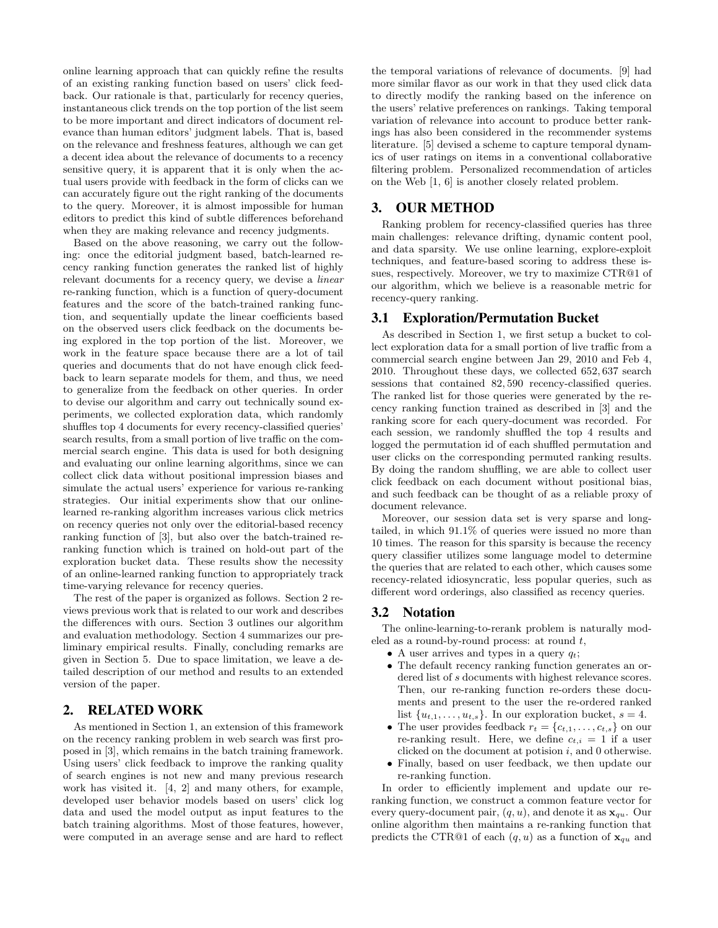online learning approach that can quickly refine the results of an existing ranking function based on users' click feedback. Our rationale is that, particularly for recency queries, instantaneous click trends on the top portion of the list seem to be more important and direct indicators of document relevance than human editors' judgment labels. That is, based on the relevance and freshness features, although we can get a decent idea about the relevance of documents to a recency sensitive query, it is apparent that it is only when the actual users provide with feedback in the form of clicks can we can accurately figure out the right ranking of the documents to the query. Moreover, it is almost impossible for human editors to predict this kind of subtle differences beforehand when they are making relevance and recency judgments.

Based on the above reasoning, we carry out the following: once the editorial judgment based, batch-learned recency ranking function generates the ranked list of highly relevant documents for a recency query, we devise a linear re-ranking function, which is a function of query-document features and the score of the batch-trained ranking function, and sequentially update the linear coefficients based on the observed users click feedback on the documents being explored in the top portion of the list. Moreover, we work in the feature space because there are a lot of tail queries and documents that do not have enough click feedback to learn separate models for them, and thus, we need to generalize from the feedback on other queries. In order to devise our algorithm and carry out technically sound experiments, we collected exploration data, which randomly shuffles top 4 documents for every recency-classified queries' search results, from a small portion of live traffic on the commercial search engine. This data is used for both designing and evaluating our online learning algorithms, since we can collect click data without positional impression biases and simulate the actual users' experience for various re-ranking strategies. Our initial experiments show that our onlinelearned re-ranking algorithm increases various click metrics on recency queries not only over the editorial-based recency ranking function of [3], but also over the batch-trained reranking function which is trained on hold-out part of the exploration bucket data. These results show the necessity of an online-learned ranking function to appropriately track time-varying relevance for recency queries.

The rest of the paper is organized as follows. Section 2 reviews previous work that is related to our work and describes the differences with ours. Section 3 outlines our algorithm and evaluation methodology. Section 4 summarizes our preliminary empirical results. Finally, concluding remarks are given in Section 5. Due to space limitation, we leave a detailed description of our method and results to an extended version of the paper.

## 2. RELATED WORK

As mentioned in Section 1, an extension of this framework on the recency ranking problem in web search was first proposed in [3], which remains in the batch training framework. Using users' click feedback to improve the ranking quality of search engines is not new and many previous research work has visited it. [4, 2] and many others, for example, developed user behavior models based on users' click log data and used the model output as input features to the batch training algorithms. Most of those features, however, were computed in an average sense and are hard to reflect

the temporal variations of relevance of documents. [9] had more similar flavor as our work in that they used click data to directly modify the ranking based on the inference on the users' relative preferences on rankings. Taking temporal variation of relevance into account to produce better rankings has also been considered in the recommender systems literature. [5] devised a scheme to capture temporal dynamics of user ratings on items in a conventional collaborative filtering problem. Personalized recommendation of articles on the Web [1, 6] is another closely related problem.

#### 3. OUR METHOD

Ranking problem for recency-classified queries has three main challenges: relevance drifting, dynamic content pool, and data sparsity. We use online learning, explore-exploit techniques, and feature-based scoring to address these issues, respectively. Moreover, we try to maximize CTR@1 of our algorithm, which we believe is a reasonable metric for recency-query ranking.

## 3.1 Exploration/Permutation Bucket

As described in Section 1, we first setup a bucket to collect exploration data for a small portion of live traffic from a commercial search engine between Jan 29, 2010 and Feb 4, 2010. Throughout these days, we collected 652, 637 search sessions that contained 82, 590 recency-classified queries. The ranked list for those queries were generated by the recency ranking function trained as described in [3] and the ranking score for each query-document was recorded. For each session, we randomly shuffled the top 4 results and logged the permutation id of each shuffled permutation and user clicks on the corresponding permuted ranking results. By doing the random shuffling, we are able to collect user click feedback on each document without positional bias, and such feedback can be thought of as a reliable proxy of document relevance.

Moreover, our session data set is very sparse and longtailed, in which 91.1% of queries were issued no more than 10 times. The reason for this sparsity is because the recency query classifier utilizes some language model to determine the queries that are related to each other, which causes some recency-related idiosyncratic, less popular queries, such as different word orderings, also classified as recency queries.

#### 3.2 Notation

The online-learning-to-rerank problem is naturally modeled as a round-by-round process: at round  $t$ ,

- A user arrives and types in a query  $q_t$ ;
- The default recency ranking function generates an ordered list of s documents with highest relevance scores. Then, our re-ranking function re-orders these documents and present to the user the re-ordered ranked list  $\{u_{t,1}, \ldots, u_{t,s}\}$ . In our exploration bucket,  $s = 4$ .
- The user provides feedback  $r_t = \{c_{t,1}, \ldots, c_{t,s}\}\$  on our re-ranking result. Here, we define  $c_{t,i} = 1$  if a user clicked on the document at potision  $i$ , and 0 otherwise.
- Finally, based on user feedback, we then update our re-ranking function.

In order to efficiently implement and update our reranking function, we construct a common feature vector for every query-document pair,  $(q, u)$ , and denote it as  $\mathbf{x}_{qu}$ . Our online algorithm then maintains a re-ranking function that predicts the CTR@1 of each  $(q, u)$  as a function of  $\mathbf{x}_{qu}$  and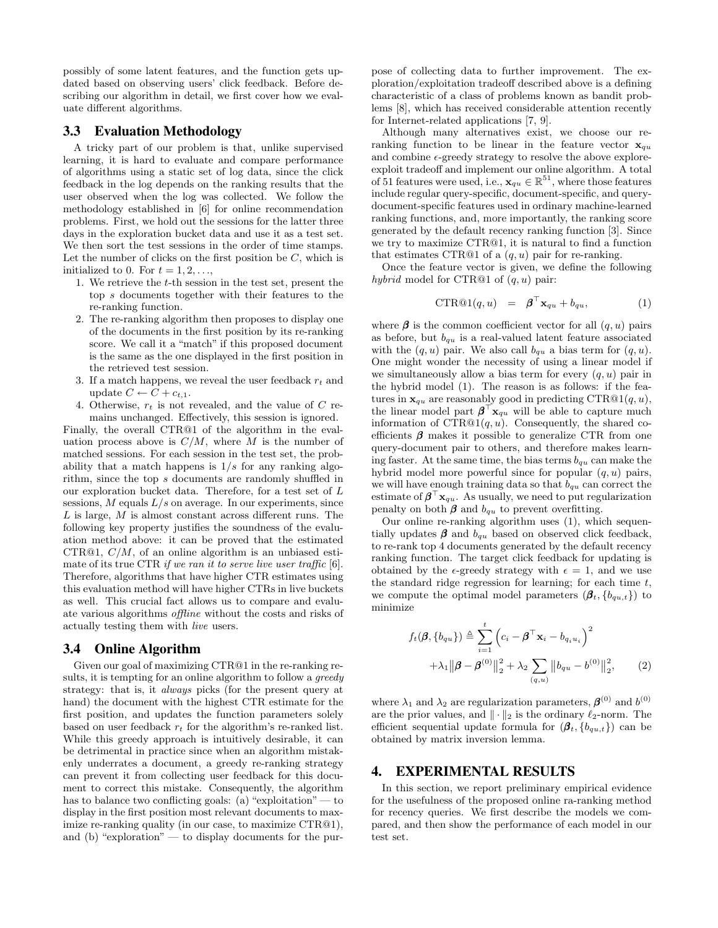possibly of some latent features, and the function gets updated based on observing users' click feedback. Before describing our algorithm in detail, we first cover how we evaluate different algorithms.

#### 3.3 Evaluation Methodology

A tricky part of our problem is that, unlike supervised learning, it is hard to evaluate and compare performance of algorithms using a static set of log data, since the click feedback in the log depends on the ranking results that the user observed when the log was collected. We follow the methodology established in [6] for online recommendation problems. First, we hold out the sessions for the latter three days in the exploration bucket data and use it as a test set. We then sort the test sessions in the order of time stamps. Let the number of clicks on the first position be  $C$ , which is initialized to 0. For  $t = 1, 2, \ldots$ ,

- 1. We retrieve the t-th session in the test set, present the top s documents together with their features to the re-ranking function.
- 2. The re-ranking algorithm then proposes to display one of the documents in the first position by its re-ranking score. We call it a "match" if this proposed document is the same as the one displayed in the first position in the retrieved test session.
- 3. If a match happens, we reveal the user feedback  $r_t$  and update  $C \leftarrow C + c_{t,1}$ .
- 4. Otherwise,  $r_t$  is not revealed, and the value of C remains unchanged. Effectively, this session is ignored.

Finally, the overall CTR@1 of the algorithm in the evaluation process above is  $C/M$ , where M is the number of matched sessions. For each session in the test set, the probability that a match happens is  $1/s$  for any ranking algorithm, since the top s documents are randomly shuffled in our exploration bucket data. Therefore, for a test set of L sessions,  $M$  equals  $L/s$  on average. In our experiments, since  $L$  is large,  $M$  is almost constant across different runs. The following key property justifies the soundness of the evaluation method above: it can be proved that the estimated CTR@1,  $C/M$ , of an online algorithm is an unbiased estimate of its true CTR if we ran it to serve live user traffic [6]. Therefore, algorithms that have higher CTR estimates using this evaluation method will have higher CTRs in live buckets as well. This crucial fact allows us to compare and evaluate various algorithms offline without the costs and risks of actually testing them with live users.

#### 3.4 Online Algorithm

Given our goal of maximizing CTR@1 in the re-ranking results, it is tempting for an online algorithm to follow a *greedy* strategy: that is, it always picks (for the present query at hand) the document with the highest CTR estimate for the first position, and updates the function parameters solely based on user feedback  $r_t$  for the algorithm's re-ranked list. While this greedy approach is intuitively desirable, it can be detrimental in practice since when an algorithm mistakenly underrates a document, a greedy re-ranking strategy can prevent it from collecting user feedback for this document to correct this mistake. Consequently, the algorithm has to balance two conflicting goals: (a) "exploitation" — to display in the first position most relevant documents to maximize re-ranking quality (in our case, to maximize CTR@1), and (b) "exploration" — to display documents for the purpose of collecting data to further improvement. The exploration/exploitation tradeoff described above is a defining characteristic of a class of problems known as bandit problems [8], which has received considerable attention recently for Internet-related applications [7, 9].

Although many alternatives exist, we choose our reranking function to be linear in the feature vector  $x_{qu}$ and combine  $\epsilon$ -greedy strategy to resolve the above exploreexploit tradeoff and implement our online algorithm. A total of 51 features were used, i.e.,  $\mathbf{x}_{qu} \in \mathbb{R}^{51}$ , where those features include regular query-specific, document-specific, and querydocument-specific features used in ordinary machine-learned ranking functions, and, more importantly, the ranking score generated by the default recency ranking function [3]. Since we try to maximize CTR@1, it is natural to find a function that estimates CTR@1 of a  $(q, u)$  pair for re-ranking.

Once the feature vector is given, we define the following hybrid model for CTR@1 of  $(q, u)$  pair:

$$
CTR@1(q, u) = \boldsymbol{\beta}^\top \mathbf{x}_{qu} + b_{qu}, \qquad (1)
$$

where  $\beta$  is the common coefficient vector for all  $(q, u)$  pairs as before, but  $b_{qu}$  is a real-valued latent feature associated with the  $(q, u)$  pair. We also call  $b_{qu}$  a bias term for  $(q, u)$ . One might wonder the necessity of using a linear model if we simultaneously allow a bias term for every  $(q, u)$  pair in the hybrid model (1). The reason is as follows: if the features in  $\mathbf{x}_{qu}$  are reasonably good in predicting CTR@1 $(q, u)$ , the linear model part  $\beta^{\top} \mathbf{x}_{qu}$  will be able to capture much information of  $CTR@1(q, u)$ . Consequently, the shared coefficients  $\beta$  makes it possible to generalize CTR from one query-document pair to others, and therefore makes learning faster. At the same time, the bias terms  $b_{qu}$  can make the hybrid model more powerful since for popular  $(q, u)$  pairs, we will have enough training data so that  $b_{qu}$  can correct the estimate of  $\beta^{\top} x_{qu}$ . As usually, we need to put regularization penalty on both  $\beta$  and  $b_{qu}$  to prevent overfitting.

Our online re-ranking algorithm uses (1), which sequentially updates  $\beta$  and  $b_{qu}$  based on observed click feedback, to re-rank top 4 documents generated by the default recency ranking function. The target click feedback for updating is obtained by the  $\epsilon$ -greedy strategy with  $\epsilon = 1$ , and we use the standard ridge regression for learning; for each time  $t$ , we compute the optimal model parameters  $(\beta_t, \{b_{qu,t}\})$  to minimize

$$
f_t(\boldsymbol{\beta}, \{b_{qu}\}) \triangleq \sum_{i=1}^t \left( c_i - \boldsymbol{\beta}^\top \mathbf{x}_i - b_{q_i u_i} \right)^2 + \lambda_1 ||\boldsymbol{\beta} - \boldsymbol{\beta}^{(0)}||_2^2 + \lambda_2 \sum_{(q, u)} ||b_{qu} - b^{(0)}||_2^2, \qquad (2)
$$

where  $\lambda_1$  and  $\lambda_2$  are regularization parameters,  $\boldsymbol{\beta}^{(0)}$  and  $b^{(0)}$ are the prior values, and  $\|\cdot\|_2$  is the ordinary  $\ell_2$ -norm. The efficient sequential update formula for  $(\beta_t, \{b_{qu,t}\})$  can be obtained by matrix inversion lemma.

#### 4. EXPERIMENTAL RESULTS

In this section, we report preliminary empirical evidence for the usefulness of the proposed online ra-ranking method for recency queries. We first describe the models we compared, and then show the performance of each model in our test set.